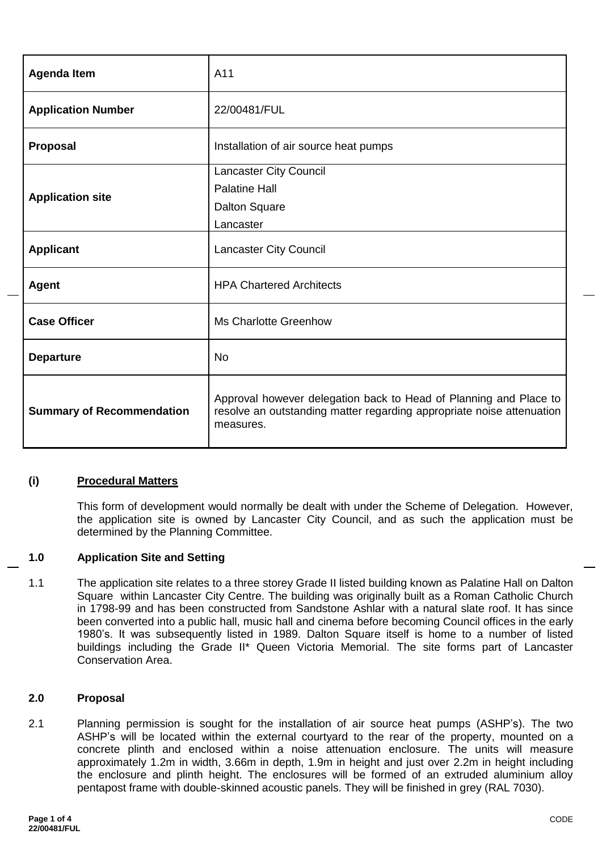| <b>Agenda Item</b>               | A11                                                                                                                                                     |  |
|----------------------------------|---------------------------------------------------------------------------------------------------------------------------------------------------------|--|
| <b>Application Number</b>        | 22/00481/FUL                                                                                                                                            |  |
| Proposal                         | Installation of air source heat pumps                                                                                                                   |  |
|                                  | <b>Lancaster City Council</b>                                                                                                                           |  |
|                                  | <b>Palatine Hall</b>                                                                                                                                    |  |
| <b>Application site</b>          | <b>Dalton Square</b>                                                                                                                                    |  |
|                                  | Lancaster                                                                                                                                               |  |
| <b>Applicant</b>                 | <b>Lancaster City Council</b>                                                                                                                           |  |
| <b>Agent</b>                     | <b>HPA Chartered Architects</b>                                                                                                                         |  |
| <b>Case Officer</b>              | <b>Ms Charlotte Greenhow</b>                                                                                                                            |  |
| <b>Departure</b>                 | <b>No</b>                                                                                                                                               |  |
| <b>Summary of Recommendation</b> | Approval however delegation back to Head of Planning and Place to<br>resolve an outstanding matter regarding appropriate noise attenuation<br>measures. |  |

## **(i) Procedural Matters**

This form of development would normally be dealt with under the Scheme of Delegation. However, the application site is owned by Lancaster City Council, and as such the application must be determined by the Planning Committee.

#### **1.0 Application Site and Setting**

1.1 The application site relates to a three storey Grade II listed building known as Palatine Hall on Dalton Square within Lancaster City Centre. The building was originally built as a Roman Catholic Church in 1798-99 and has been constructed from Sandstone Ashlar with a natural slate roof. It has since been converted into a public hall, music hall and cinema before becoming Council offices in the early 1980's. It was subsequently listed in 1989. Dalton Square itself is home to a number of listed buildings including the Grade II\* Queen Victoria Memorial. The site forms part of Lancaster Conservation Area.

#### **2.0 Proposal**

2.1 Planning permission is sought for the installation of air source heat pumps (ASHP's). The two ASHP's will be located within the external courtyard to the rear of the property, mounted on a concrete plinth and enclosed within a noise attenuation enclosure. The units will measure approximately 1.2m in width, 3.66m in depth, 1.9m in height and just over 2.2m in height including the enclosure and plinth height. The enclosures will be formed of an extruded aluminium alloy pentapost frame with double-skinned acoustic panels. They will be finished in grey (RAL 7030).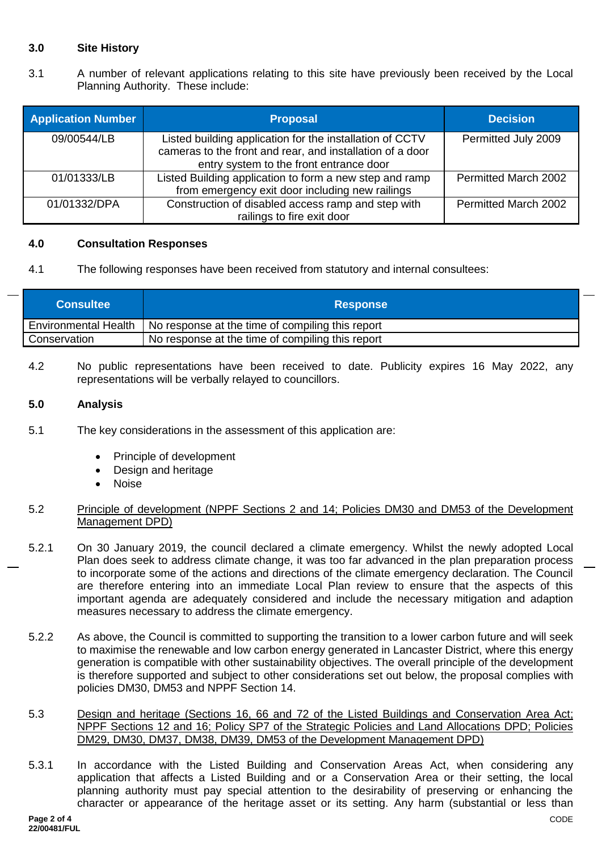# **3.0 Site History**

3.1 A number of relevant applications relating to this site have previously been received by the Local Planning Authority. These include:

| <b>Application Number</b> | <b>Proposal</b>                                                                                                                                                  | <b>Decision</b>             |
|---------------------------|------------------------------------------------------------------------------------------------------------------------------------------------------------------|-----------------------------|
| 09/00544/LB               | Listed building application for the installation of CCTV<br>cameras to the front and rear, and installation of a door<br>entry system to the front entrance door | Permitted July 2009         |
| 01/01333/LB               | Listed Building application to form a new step and ramp<br>from emergency exit door including new railings                                                       | <b>Permitted March 2002</b> |
| 01/01332/DPA              | Construction of disabled access ramp and step with<br>railings to fire exit door                                                                                 | Permitted March 2002        |

#### **4.0 Consultation Responses**

4.1 The following responses have been received from statutory and internal consultees:

| <b>Consultee</b>     | <b>Response</b>                                  |
|----------------------|--------------------------------------------------|
| Environmental Health | No response at the time of compiling this report |
| Conservation         | No response at the time of compiling this report |

4.2 No public representations have been received to date. Publicity expires 16 May 2022, any representations will be verbally relayed to councillors.

## **5.0 Analysis**

- 5.1 The key considerations in the assessment of this application are:
	- Principle of development
	- Design and heritage
	- Noise

## 5.2 Principle of development (NPPF Sections 2 and 14; Policies DM30 and DM53 of the Development Management DPD)

- 5.2.1 On 30 January 2019, the council declared a climate emergency. Whilst the newly adopted Local Plan does seek to address climate change, it was too far advanced in the plan preparation process to incorporate some of the actions and directions of the climate emergency declaration. The Council are therefore entering into an immediate Local Plan review to ensure that the aspects of this important agenda are adequately considered and include the necessary mitigation and adaption measures necessary to address the climate emergency.
- 5.2.2 As above, the Council is committed to supporting the transition to a lower carbon future and will seek to maximise the renewable and low carbon energy generated in Lancaster District, where this energy generation is compatible with other sustainability objectives. The overall principle of the development is therefore supported and subject to other considerations set out below, the proposal complies with policies DM30, DM53 and NPPF Section 14.
- 5.3 Design and heritage (Sections 16, 66 and 72 of the Listed Buildings and Conservation Area Act; NPPF Sections 12 and 16; Policy SP7 of the Strategic Policies and Land Allocations DPD; Policies DM29, DM30, DM37, DM38, DM39, DM53 of the Development Management DPD)
- 5.3.1 In accordance with the Listed Building and Conservation Areas Act, when considering any application that affects a Listed Building and or a Conservation Area or their setting, the local planning authority must pay special attention to the desirability of preserving or enhancing the character or appearance of the heritage asset or its setting. Any harm (substantial or less than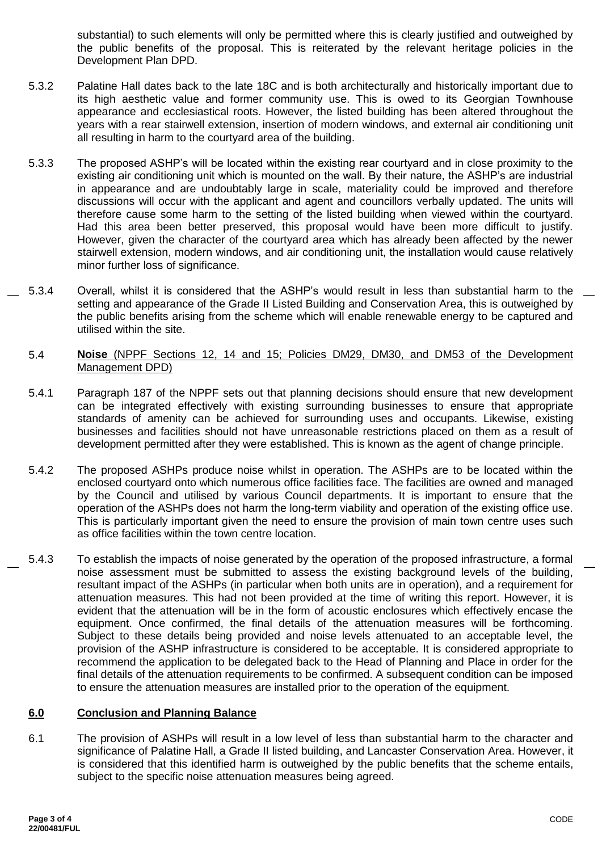substantial) to such elements will only be permitted where this is clearly justified and outweighed by the public benefits of the proposal. This is reiterated by the relevant heritage policies in the Development Plan DPD.

- 5.3.2 Palatine Hall dates back to the late 18C and is both architecturally and historically important due to its high aesthetic value and former community use. This is owed to its Georgian Townhouse appearance and ecclesiastical roots. However, the listed building has been altered throughout the years with a rear stairwell extension, insertion of modern windows, and external air conditioning unit all resulting in harm to the courtyard area of the building.
- 5.3.3 The proposed ASHP's will be located within the existing rear courtyard and in close proximity to the existing air conditioning unit which is mounted on the wall. By their nature, the ASHP's are industrial in appearance and are undoubtably large in scale, materiality could be improved and therefore discussions will occur with the applicant and agent and councillors verbally updated. The units will therefore cause some harm to the setting of the listed building when viewed within the courtyard. Had this area been better preserved, this proposal would have been more difficult to justify. However, given the character of the courtyard area which has already been affected by the newer stairwell extension, modern windows, and air conditioning unit, the installation would cause relatively minor further loss of significance.
- 5.3.4 Overall, whilst it is considered that the ASHP's would result in less than substantial harm to the setting and appearance of the Grade II Listed Building and Conservation Area, this is outweighed by the public benefits arising from the scheme which will enable renewable energy to be captured and utilised within the site.
	- 5.4 **Noise** (NPPF Sections 12, 14 and 15; Policies DM29, DM30, and DM53 of the Development Management DPD)
	- 5.4.1 Paragraph 187 of the NPPF sets out that planning decisions should ensure that new development can be integrated effectively with existing surrounding businesses to ensure that appropriate standards of amenity can be achieved for surrounding uses and occupants. Likewise, existing businesses and facilities should not have unreasonable restrictions placed on them as a result of development permitted after they were established. This is known as the agent of change principle.
	- 5.4.2 The proposed ASHPs produce noise whilst in operation. The ASHPs are to be located within the enclosed courtyard onto which numerous office facilities face. The facilities are owned and managed by the Council and utilised by various Council departments. It is important to ensure that the operation of the ASHPs does not harm the long-term viability and operation of the existing office use. This is particularly important given the need to ensure the provision of main town centre uses such as office facilities within the town centre location.
- 5.4.3 To establish the impacts of noise generated by the operation of the proposed infrastructure, a formal noise assessment must be submitted to assess the existing background levels of the building, resultant impact of the ASHPs (in particular when both units are in operation), and a requirement for attenuation measures. This had not been provided at the time of writing this report. However, it is evident that the attenuation will be in the form of acoustic enclosures which effectively encase the equipment. Once confirmed, the final details of the attenuation measures will be forthcoming. Subject to these details being provided and noise levels attenuated to an acceptable level, the provision of the ASHP infrastructure is considered to be acceptable. It is considered appropriate to recommend the application to be delegated back to the Head of Planning and Place in order for the final details of the attenuation requirements to be confirmed. A subsequent condition can be imposed to ensure the attenuation measures are installed prior to the operation of the equipment.

## **6.0 Conclusion and Planning Balance**

6.1 The provision of ASHPs will result in a low level of less than substantial harm to the character and significance of Palatine Hall, a Grade II listed building, and Lancaster Conservation Area. However, it is considered that this identified harm is outweighed by the public benefits that the scheme entails, subject to the specific noise attenuation measures being agreed.